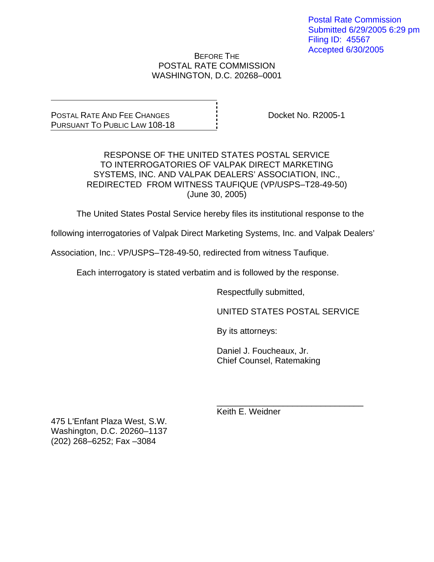Postal Rate Commission Submitted 6/29/2005 6:29 pm Filing ID: 45567 Accepted 6/30/2005

BEFORE THE POSTAL RATE COMMISSION WASHINGTON, D.C. 20268–0001

POSTAL RATE AND FEE CHANGES PURSUANT TO PUBLIC LAW 108-18 Docket No. R2005-1

RESPONSE OF THE UNITED STATES POSTAL SERVICE TO INTERROGATORIES OF VALPAK DIRECT MARKETING SYSTEMS, INC. AND VALPAK DEALERS' ASSOCIATION, INC., REDIRECTED FROM WITNESS TAUFIQUE (VP/USPS–T28-49-50) (June 30, 2005)

The United States Postal Service hereby files its institutional response to the

following interrogatories of Valpak Direct Marketing Systems, Inc. and Valpak Dealers'

Association, Inc.: VP/USPS–T28-49-50, redirected from witness Taufique.

Each interrogatory is stated verbatim and is followed by the response.

 $\frac{1}{\sqrt{1-\frac{1}{2}+\frac{1}{2}+\frac{1}{2}+\frac{1}{2}+\frac{1}{2}+\frac{1}{2}+\frac{1}{2}+\frac{1}{2}+\frac{1}{2}+\frac{1}{2}+\frac{1}{2}+\frac{1}{2}+\frac{1}{2}+\frac{1}{2}+\frac{1}{2}+\frac{1}{2}+\frac{1}{2}+\frac{1}{2}+\frac{1}{2}+\frac{1}{2}+\frac{1}{2}+\frac{1}{2}+\frac{1}{2}+\frac{1}{2}+\frac{1}{2}+\frac{1}{2}+\frac{1}{2}+\frac{1}{2}+\frac{1}{2}+\frac{1}{2}+\$ 

Respectfully submitted,

UNITED STATES POSTAL SERVICE

By its attorneys:

 Daniel J. Foucheaux, Jr. Chief Counsel, Ratemaking

Keith E. Weidner

475 L'Enfant Plaza West, S.W. Washington, D.C. 20260–1137 (202) 268–6252; Fax –3084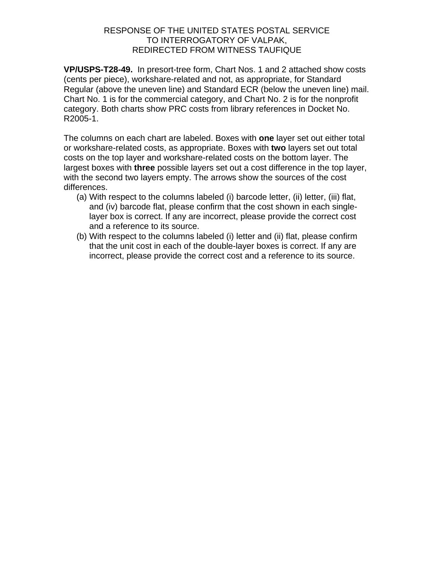**VP/USPS-T28-49.** In presort-tree form, Chart Nos. 1 and 2 attached show costs (cents per piece), workshare-related and not, as appropriate, for Standard Regular (above the uneven line) and Standard ECR (below the uneven line) mail. Chart No. 1 is for the commercial category, and Chart No. 2 is for the nonprofit category. Both charts show PRC costs from library references in Docket No. R2005-1.

The columns on each chart are labeled. Boxes with **one** layer set out either total or workshare-related costs, as appropriate. Boxes with **two** layers set out total costs on the top layer and workshare-related costs on the bottom layer. The largest boxes with **three** possible layers set out a cost difference in the top layer, with the second two layers empty. The arrows show the sources of the cost differences.

- (a) With respect to the columns labeled (i) barcode letter, (ii) letter, (iii) flat, and (iv) barcode flat, please confirm that the cost shown in each singlelayer box is correct. If any are incorrect, please provide the correct cost and a reference to its source.
- (b) With respect to the columns labeled (i) letter and (ii) flat, please confirm that the unit cost in each of the double-layer boxes is correct. If any are incorrect, please provide the correct cost and a reference to its source.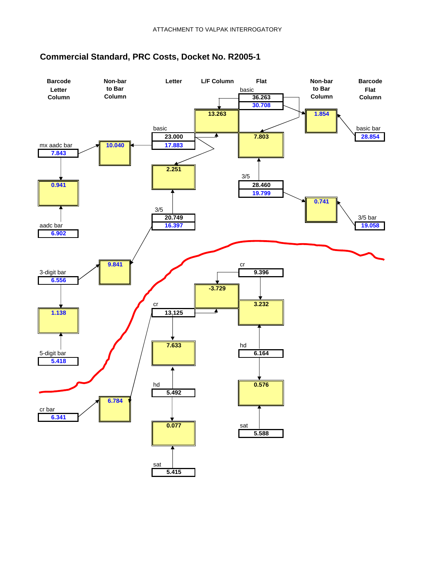

# **Commercial Standard, PRC Costs, Docket No. R2005-1**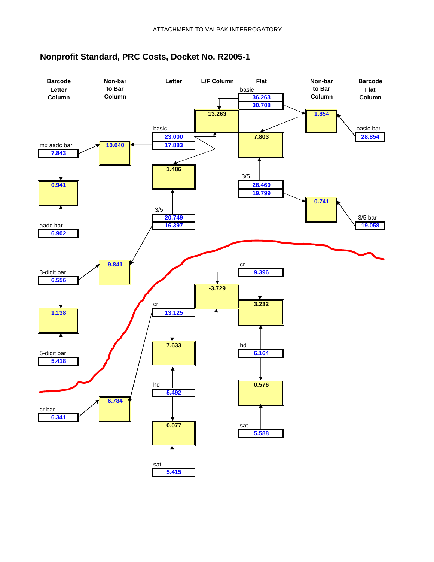

# **Nonprofit Standard, PRC Costs, Docket No. R2005-1**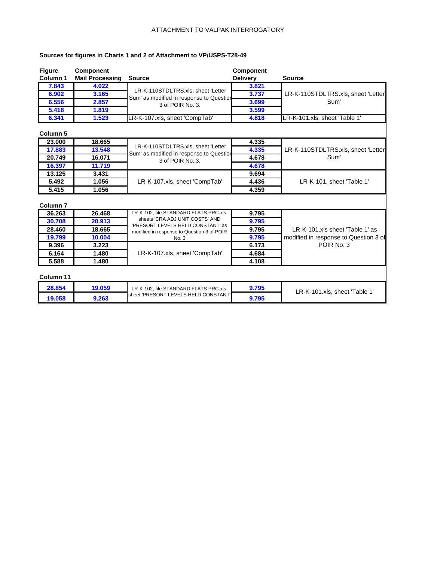#### ATTACHMENT TO VALPAK INTERROGATORY

### **Sources for figures in Charts 1 and 2 of Attachment to VP/USPS-T28-49**

| <b>Figure</b>       | <b>Component</b>       |                                                                                | <b>Component</b> |                                       |
|---------------------|------------------------|--------------------------------------------------------------------------------|------------------|---------------------------------------|
| Column <sub>1</sub> | <b>Mail Processing</b> | <b>Source</b>                                                                  | <b>Delivery</b>  | <b>Source</b>                         |
| 7.843               | 4.022                  |                                                                                | 3.821            |                                       |
| 6.902               | 3.165                  | LR-K-110STDLTRS.xls, sheet 'Letter<br>Sum' as modified in response to Question | 3.737            | LR-K-110STDLTRS.xls, sheet 'Letter    |
| 6.556               | 2.857                  | 3 of POIR No. 3.                                                               | 3.699            | Sum'                                  |
| 5.418               | 1.819                  |                                                                                | 3.599            |                                       |
| 6.341               | 1.523                  | LR-K-107.xls, sheet 'CompTab'                                                  | 4.818            | LR-K-101.xls, sheet 'Table 1'         |
| <b>Column 5</b>     |                        |                                                                                |                  |                                       |
| 23,000              | 18.665                 |                                                                                | 4.335            |                                       |
| 17.883              | 13.548                 | LR-K-110STDLTRS.xls, sheet 'Letter<br>Sum' as modified in response to Question | 4.335            | LR-K-110STDLTRS.xls, sheet 'Letter    |
| 20.749              | 16.071                 | 3 of POIR No. 3.                                                               | 4.678            | Sum'                                  |
| 16.397              | 11.719                 |                                                                                | 4.678            |                                       |
| 13.125              | 3.431                  |                                                                                | 9.694            |                                       |
| 5.492               | 1.056                  | LR-K-107.xls, sheet 'CompTab'                                                  | 4.436            | LR-K-101, sheet 'Table 1'             |
| 5.415               | 1.056                  |                                                                                | 4.359            |                                       |
| Column <sub>7</sub> |                        |                                                                                |                  |                                       |
| 36.263              | 26.468                 | LR-K-102, file STANDARD FLATS PRC.xls,                                         | 9.795            |                                       |
| 30.708              | 20.913                 | sheets 'CRA ADJ UNIT COSTS' AND<br>'PRESORT LEVELS HELD CONSTANT' as           | 9.795            |                                       |
| 28,460              | 18.665                 | modified in response to Question 3 of POIR                                     | 9.795            | LR-K-101.xls sheet 'Table 1' as       |
| 19.799              | 10.004                 | No. 3                                                                          | 9.795            | modified in response to Question 3 of |
| 9.396               | 3.223                  |                                                                                | 6.173            | POIR No. 3                            |
| 6.164               | 1.480                  | LR-K-107.xls, sheet 'CompTab'                                                  | 4.684            |                                       |
| 5.588               | 1.480                  |                                                                                | 4.108            |                                       |
| Column 11           |                        |                                                                                |                  |                                       |
| 28.854              | 19.059                 | LR-K-102, file STANDARD FLATS PRC.xls,                                         | 9.795            | LR-K-101.xls, sheet 'Table 1'         |
| 19.058              | 9.263                  | sheet 'PRESORT LEVELS HELD CONSTANT'                                           | 9.795            |                                       |
|                     |                        |                                                                                |                  |                                       |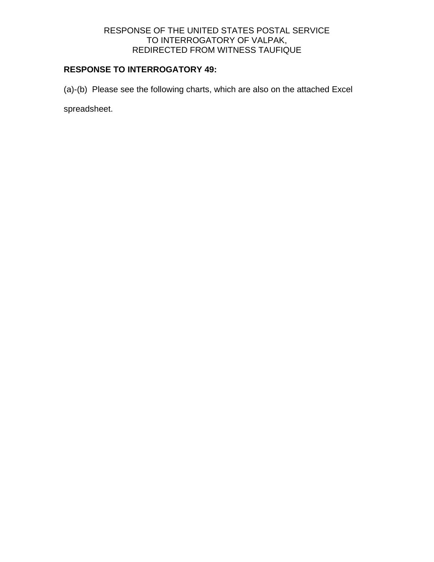# **RESPONSE TO INTERROGATORY 49:**

(a)-(b) Please see the following charts, which are also on the attached Excel

spreadsheet.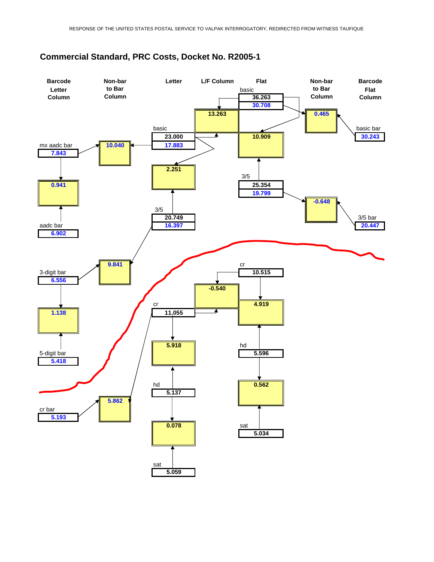

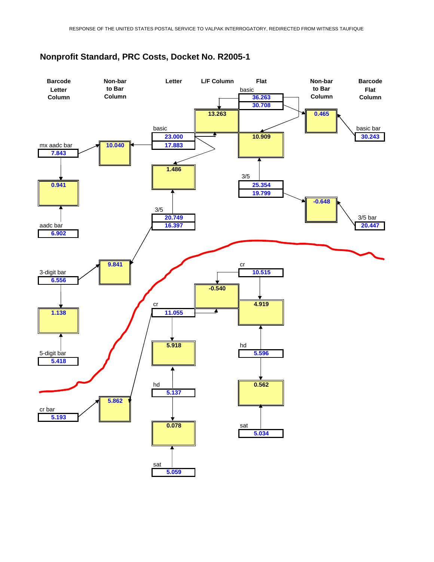

sat

**5.059**

# **Nonprofit Standard, PRC Costs, Docket No. R2005-1**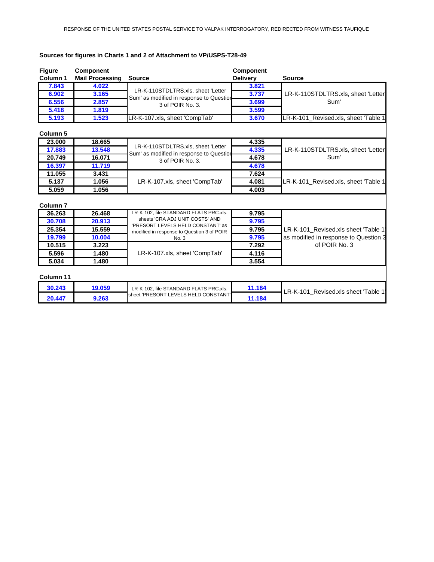### **Sources for figures in Charts 1 and 2 of Attachment to VP/USPS-T28-49**

| <b>Figure</b>       | <b>Component</b>       |                                                                                | <b>Component</b> |                                       |
|---------------------|------------------------|--------------------------------------------------------------------------------|------------------|---------------------------------------|
| <b>Column 1</b>     | <b>Mail Processing</b> | <b>Source</b>                                                                  | <b>Delivery</b>  | <b>Source</b>                         |
| 7.843               | 4.022                  |                                                                                | 3.821            | LR-K-110STDLTRS.xls, sheet 'Letter    |
| 6.902               | 3.165                  | LR-K-110STDLTRS.xls, sheet 'Letter<br>Sum' as modified in response to Question | 3.737            |                                       |
| 6.556               | 2.857                  | 3 of POIR No. 3.                                                               | 3.699            | Sum'                                  |
| 5.418               | 1.819                  |                                                                                | 3.599            |                                       |
| 5.193               | 1.523                  | LR-K-107.xls, sheet 'CompTab'                                                  | 3.670            | LR-K-101 Revised.xls, sheet 'Table 1  |
| <b>Column 5</b>     |                        |                                                                                |                  |                                       |
| 23,000              | 18.665                 |                                                                                | 4.335            |                                       |
| 17.883              | 13.548                 | LR-K-110STDLTRS.xls, sheet 'Letter<br>Sum' as modified in response to Question | 4.335            | LR-K-110STDLTRS.xls, sheet 'Letter    |
| 20.749              | 16.071                 | 3 of POIR No. 3.                                                               | 4.678            | Sum'                                  |
| 16.397              | 11.719                 |                                                                                | 4.678            |                                       |
| 11.055              | 3.431                  |                                                                                | 7.624            | LR-K-101 Revised.xls, sheet 'Table 1  |
| 5.137               | 1.056                  | LR-K-107.xls, sheet 'CompTab'                                                  | 4.081            |                                       |
| 5.059               | 1.056                  |                                                                                | 4.003            |                                       |
| Column <sub>7</sub> |                        |                                                                                |                  |                                       |
| 36.263              | 26.468                 | LR-K-102, file STANDARD FLATS PRC.xls,                                         | 9.795            |                                       |
| 30.708              | 20.913                 | sheets 'CRA ADJ UNIT COSTS' AND<br>'PRESORT LEVELS HELD CONSTANT' as           | 9.795            |                                       |
| 25.354              | 15.559                 | modified in response to Question 3 of POIR                                     | 9.795            | LR-K-101 Revised.xls sheet 'Table 1'  |
| 19.799              | 10.004                 | No. 3                                                                          | 9.795            | as modified in response to Question 3 |
| 10.515              | 3.223                  |                                                                                | 7.292            | of POIR No. 3                         |
| 5.596               | 1.480                  | LR-K-107.xls, sheet 'CompTab'                                                  | 4.116            |                                       |
| 5.034               | 1.480                  |                                                                                | 3.554            |                                       |
| Column 11           |                        |                                                                                |                  |                                       |
| 30.243              | 19.059                 | LR-K-102, file STANDARD FLATS PRC.xls,                                         | 11.184           | LR-K-101 Revised.xls sheet 'Table 1'  |
| 20.447              | 9.263                  | sheet 'PRESORT LEVELS HELD CONSTANT'                                           | 11.184           |                                       |
|                     |                        |                                                                                |                  |                                       |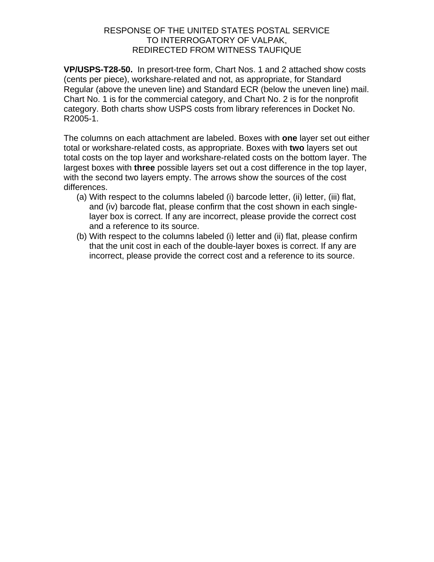**VP/USPS-T28-50.** In presort-tree form, Chart Nos. 1 and 2 attached show costs (cents per piece), workshare-related and not, as appropriate, for Standard Regular (above the uneven line) and Standard ECR (below the uneven line) mail. Chart No. 1 is for the commercial category, and Chart No. 2 is for the nonprofit category. Both charts show USPS costs from library references in Docket No. R2005-1.

The columns on each attachment are labeled. Boxes with **one** layer set out either total or workshare-related costs, as appropriate. Boxes with **two** layers set out total costs on the top layer and workshare-related costs on the bottom layer. The largest boxes with **three** possible layers set out a cost difference in the top layer, with the second two layers empty. The arrows show the sources of the cost differences.

- (a) With respect to the columns labeled (i) barcode letter, (ii) letter, (iii) flat, and (iv) barcode flat, please confirm that the cost shown in each singlelayer box is correct. If any are incorrect, please provide the correct cost and a reference to its source.
- (b) With respect to the columns labeled (i) letter and (ii) flat, please confirm that the unit cost in each of the double-layer boxes is correct. If any are incorrect, please provide the correct cost and a reference to its source.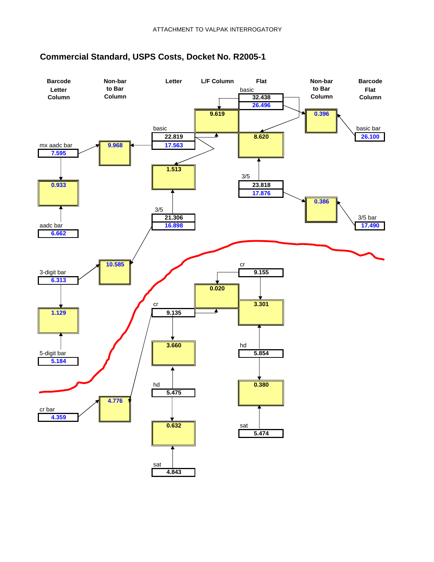

# **Commercial Standard, USPS Costs, Docket No. R2005-1**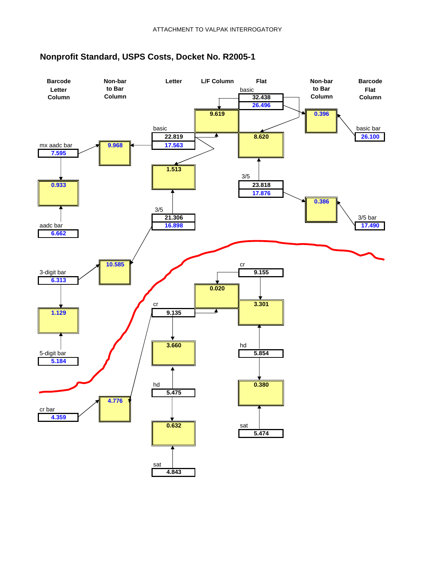

# **Nonprofit Standard, USPS Costs, Docket No. R2005-1**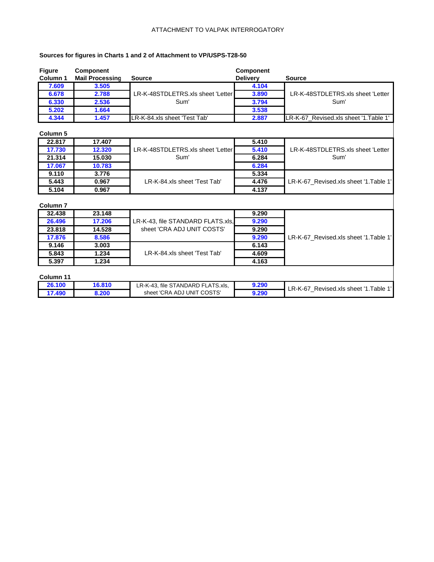#### ATTACHMENT TO VALPAK INTERROGATORY

### **Sources for figures in Charts 1 and 2 of Attachment to VP/USPS-T28-50**

| <b>Figure</b><br>Column 1 | <b>Component</b><br><b>Mail Processing</b> | <b>Source</b>                     | Component<br><b>Delivery</b> | <b>Source</b>                          |
|---------------------------|--------------------------------------------|-----------------------------------|------------------------------|----------------------------------------|
| 7.609                     | 3.505                                      |                                   | 4.104                        |                                        |
| 6.678                     | 2.788                                      | LR-K-48STDLETRS.xls sheet 'Letter | 3.890                        | LR-K-48STDLETRS.xls sheet 'Letter      |
| 6.330                     | 2.536                                      | Sum'                              | 3.794                        | Sum'                                   |
| 5.202                     | 1.664                                      |                                   | 3.538                        |                                        |
| 4.344                     | 1.457                                      | LR-K-84.xls sheet 'Test Tab'      | 2.887                        | LR-K-67 Revised.xls sheet '1. Table 1' |

### **Column 5**

| vviuilli v |        |                                   |       |                                        |
|------------|--------|-----------------------------------|-------|----------------------------------------|
| 22.817     | 17.407 |                                   | 5.410 |                                        |
| 17.730     | 12.320 | LR-K-48STDLETRS.xls sheet 'Letter | 5.410 | LR-K-48STDLETRS.xls sheet 'Letter      |
| 21.314     | 15.030 | Sum'                              | 6.284 | Sum'                                   |
| 17.067     | 10.783 |                                   | 6.284 |                                        |
| 9.110      | 3.776  |                                   | 5.334 |                                        |
| 5.443      | 0.967  | LR-K-84.xls sheet 'Test Tab'      | 4.476 | LR-K-67 Revised.xls sheet '1. Table 1' |
| 5.104      | 0.967  |                                   | 4.137 |                                        |

#### **Column 7**

| .      |        |                                   |       |                                       |
|--------|--------|-----------------------------------|-------|---------------------------------------|
| 32.438 | 23.148 |                                   | 9.290 |                                       |
| 26.496 | 17.206 | LR-K-43, file STANDARD FLATS.xls, | 9.290 |                                       |
| 23,818 | 14.528 | sheet 'CRA ADJ UNIT COSTS'        | 9.290 |                                       |
| 17,876 | 8.586  |                                   | 9.290 | LR-K-67 Revised.xls sheet '1.Table 1' |
| 9.146  | 3.003  |                                   | 6.143 |                                       |
| 5.843  | 1.234  | LR-K-84.xls sheet 'Test Tab'      | 4.609 |                                       |
| 5.397  | 1.234  |                                   | 4.163 |                                       |

#### **Column 11**

| 26.100 | 16.810 | LR-K-43. file STANDARD FLATS.xls. | 9.290 | ∟R-K-67<br>⊥.Table <sup>1'</sup><br>Revised.xls sheet '1 |
|--------|--------|-----------------------------------|-------|----------------------------------------------------------|
| 7.490  | 200.د  | sheet 'CRA ADJ UNIT COSTS'        | 9.290 |                                                          |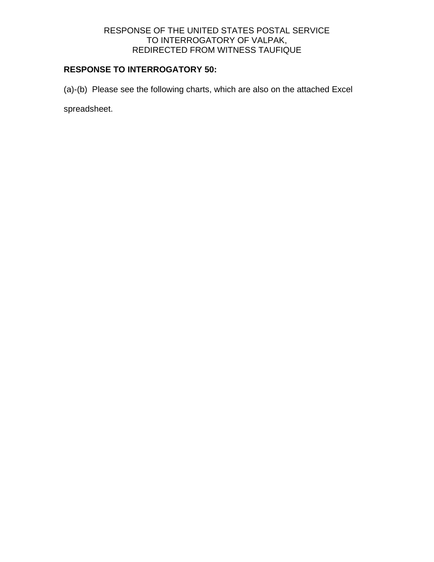# **RESPONSE TO INTERROGATORY 50:**

(a)-(b) Please see the following charts, which are also on the attached Excel

spreadsheet.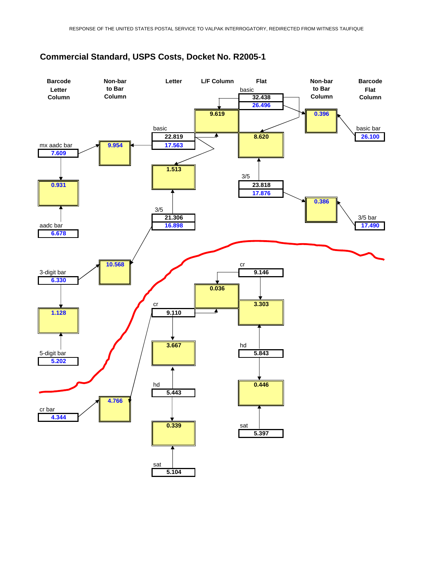

# **Commercial Standard, USPS Costs, Docket No. R2005-1**

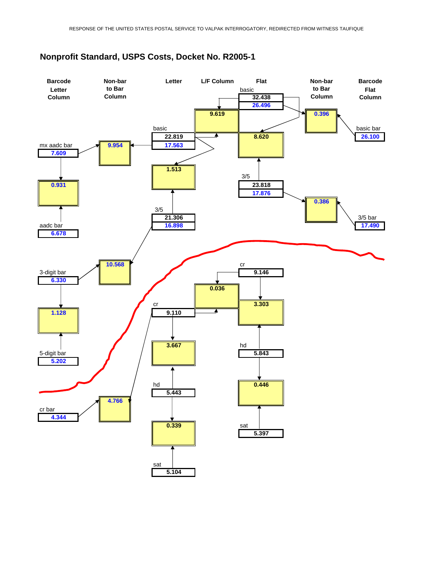

# **Nonprofit Standard, USPS Costs, Docket No. R2005-1**